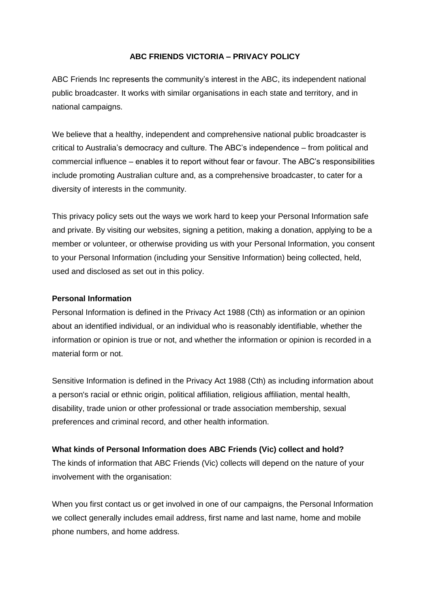### **ABC FRIENDS VICTORIA – PRIVACY POLICY**

ABC Friends Inc represents the community's interest in the ABC, its independent national public broadcaster. It works with similar organisations in each state and territory, and in national campaigns.

We believe that a healthy, independent and comprehensive national public broadcaster is critical to Australia's democracy and culture. The ABC's independence – from political and commercial influence – enables it to report without fear or favour. The ABC's responsibilities include promoting Australian culture and, as a comprehensive broadcaster, to cater for a diversity of interests in the community.

This privacy policy sets out the ways we work hard to keep your Personal Information safe and private. By visiting our websites, signing a petition, making a donation, applying to be a member or volunteer, or otherwise providing us with your Personal Information, you consent to your Personal Information (including your Sensitive Information) being collected, held, used and disclosed as set out in this policy.

#### **Personal Information**

Personal Information is defined in the Privacy Act 1988 (Cth) as information or an opinion about an identified individual, or an individual who is reasonably identifiable, whether the information or opinion is true or not, and whether the information or opinion is recorded in a material form or not.

Sensitive Information is defined in the Privacy Act 1988 (Cth) as including information about a person's racial or ethnic origin, political affiliation, religious affiliation, mental health, disability, trade union or other professional or trade association membership, sexual preferences and criminal record, and other health information.

### **What kinds of Personal Information does ABC Friends (Vic) collect and hold?**

The kinds of information that ABC Friends (Vic) collects will depend on the nature of your involvement with the organisation:

When you first contact us or get involved in one of our campaigns, the Personal Information we collect generally includes email address, first name and last name, home and mobile phone numbers, and home address.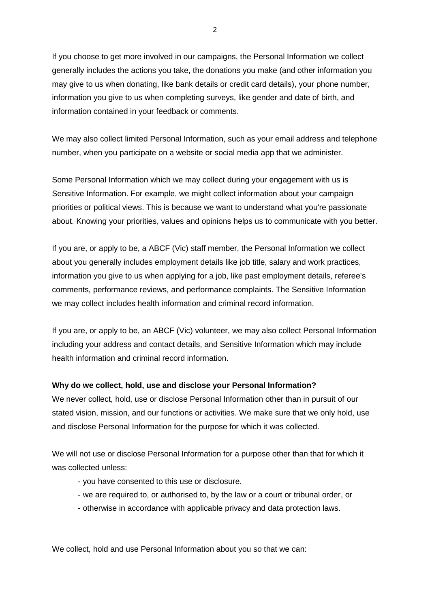If you choose to get more involved in our campaigns, the Personal Information we collect generally includes the actions you take, the donations you make (and other information you may give to us when donating, like bank details or credit card details), your phone number, information you give to us when completing surveys, like gender and date of birth, and information contained in your feedback or comments.

We may also collect limited Personal Information, such as your email address and telephone number, when you participate on a website or social media app that we administer.

Some Personal Information which we may collect during your engagement with us is Sensitive Information. For example, we might collect information about your campaign priorities or political views. This is because we want to understand what you're passionate about. Knowing your priorities, values and opinions helps us to communicate with you better.

If you are, or apply to be, a ABCF (Vic) staff member, the Personal Information we collect about you generally includes employment details like job title, salary and work practices, information you give to us when applying for a job, like past employment details, referee's comments, performance reviews, and performance complaints. The Sensitive Information we may collect includes health information and criminal record information.

If you are, or apply to be, an ABCF (Vic) volunteer, we may also collect Personal Information including your address and contact details, and Sensitive Information which may include health information and criminal record information.

### **Why do we collect, hold, use and disclose your Personal Information?**

We never collect, hold, use or disclose Personal Information other than in pursuit of our stated vision, mission, and our functions or activities. We make sure that we only hold, use and disclose Personal Information for the purpose for which it was collected.

We will not use or disclose Personal Information for a purpose other than that for which it was collected unless:

- you have consented to this use or disclosure.
- we are required to, or authorised to, by the law or a court or tribunal order, or
- otherwise in accordance with applicable privacy and data protection laws.

We collect, hold and use Personal Information about you so that we can: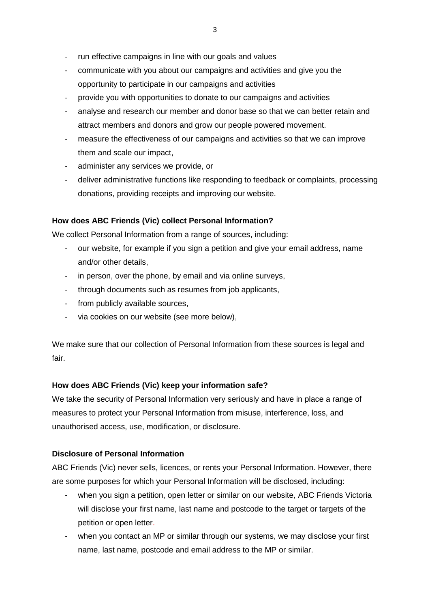- run effective campaigns in line with our goals and values
- communicate with you about our campaigns and activities and give you the opportunity to participate in our campaigns and activities
- provide you with opportunities to donate to our campaigns and activities
- analyse and research our member and donor base so that we can better retain and attract members and donors and grow our people powered movement.
- measure the effectiveness of our campaigns and activities so that we can improve them and scale our impact,
- administer any services we provide, or
- deliver administrative functions like responding to feedback or complaints, processing donations, providing receipts and improving our website.

# **How does ABC Friends (Vic) collect Personal Information?**

We collect Personal Information from a range of sources, including:

- our website, for example if you sign a petition and give your email address, name and/or other details,
- in person, over the phone, by email and via online surveys,
- through documents such as resumes from job applicants,
- from publicly available sources,
- via cookies on our website (see more below),

We make sure that our collection of Personal Information from these sources is legal and fair.

# **How does ABC Friends (Vic) keep your information safe?**

We take the security of Personal Information very seriously and have in place a range of measures to protect your Personal Information from misuse, interference, loss, and unauthorised access, use, modification, or disclosure.

# **Disclosure of Personal Information**

ABC Friends (Vic) never sells, licences, or rents your Personal Information. However, there are some purposes for which your Personal Information will be disclosed, including:

- when you sign a petition, open letter or similar on our website, ABC Friends Victoria will disclose your first name, last name and postcode to the target or targets of the petition or open letter.
- when you contact an MP or similar through our systems, we may disclose your first name, last name, postcode and email address to the MP or similar.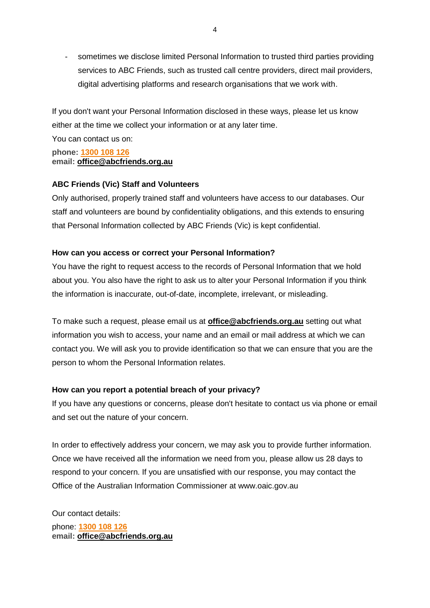sometimes we disclose limited Personal Information to trusted third parties providing services to ABC Friends, such as trusted call centre providers, direct mail providers, digital advertising platforms and research organisations that we work with.

If you don't want your Personal Information disclosed in these ways, please let us know either at the time we collect your information or at any later time.

You can contact us on:

**phone: [1300](tel:1300108126) 108 126 email: [office@abcfriends.org.au](mailto:office@abcfriends.org.au)**

## **ABC Friends (Vic) Staff and Volunteers**

Only authorised, properly trained staff and volunteers have access to our databases. Our staff and volunteers are bound by confidentiality obligations, and this extends to ensuring that Personal Information collected by ABC Friends (Vic) is kept confidential.

## **How can you access or correct your Personal Information?**

You have the right to request access to the records of Personal Information that we hold about you. You also have the right to ask us to alter your Personal Information if you think the information is inaccurate, out-of-date, incomplete, irrelevant, or misleading.

To make such a request, please email us at **[office@abcfriends.org.au](mailto:office@abcfriends.org.au)** setting out what information you wish to access, your name and an email or mail address at which we can contact you. We will ask you to provide identification so that we can ensure that you are the person to whom the Personal Information relates.

## **How can you report a potential breach of your privacy?**

If you have any questions or concerns, please don't hesitate to contact us via phone or email and set out the nature of your concern.

In order to effectively address your concern, we may ask you to provide further information. Once we have received all the information we need from you, please allow us 28 days to respond to your concern. If you are unsatisfied with our response, you may contact the Office of the Australian Information Commissioner at www.oaic.gov.au

Our contact details: phone: **[1300](tel:1300108126) 108 126 email: [office@abcfriends.org.au](mailto:office@abcfriends.org.au)**